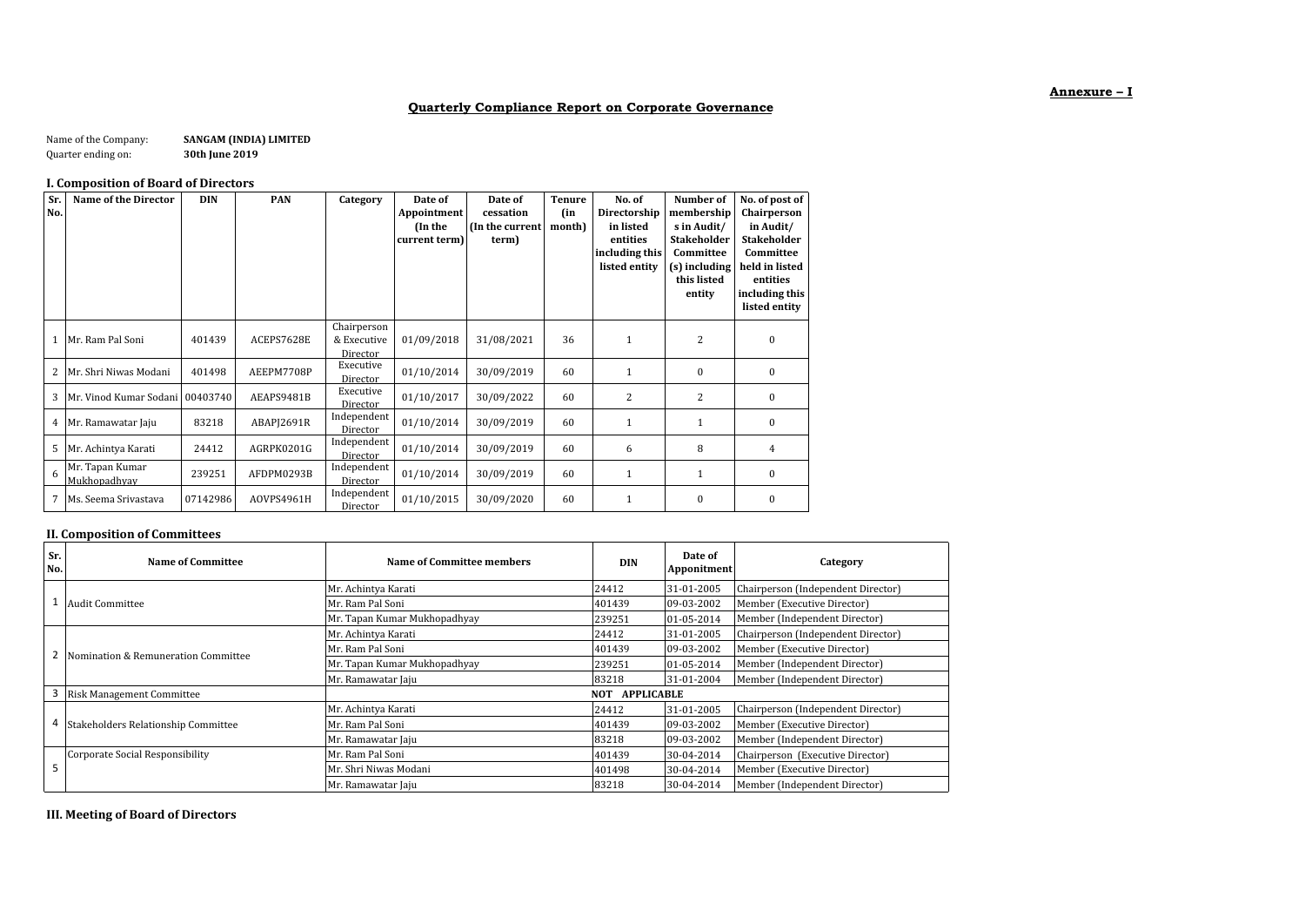# **Quarterly Compliance Report on Corporate Governance**

#### Name of the Company: **SANGAM (INDIA) LIMITED**<br>Quarter ending on: **30th June 2019** Quarter ending on:

# **I. Composition of Board of Directors**

| Sr.<br>No. | <b>Name of the Director</b>      | DIN      | <b>PAN</b> | Category                               | Date of<br>Appointment<br>(In the<br>current term) | Date of<br>cessation<br>(In the current<br>term) | <b>Tenure</b><br>(in<br>month) | No. of<br>Directorship<br>in listed<br>entities<br>including this<br>listed entity | Number of<br>membership<br>s in Audit/<br><b>Stakeholder</b><br>Committee<br>(s) including<br>this listed<br>entity | No. of post of<br>Chairperson<br>in Audit/<br><b>Stakeholder</b><br>Committee<br>held in listed<br>entities<br>including this<br>listed entity |
|------------|----------------------------------|----------|------------|----------------------------------------|----------------------------------------------------|--------------------------------------------------|--------------------------------|------------------------------------------------------------------------------------|---------------------------------------------------------------------------------------------------------------------|------------------------------------------------------------------------------------------------------------------------------------------------|
|            | Mr. Ram Pal Soni                 | 401439   | ACEPS7628E | Chairperson<br>& Executive<br>Director | 01/09/2018                                         | 31/08/2021                                       | 36                             | 1                                                                                  | $\overline{c}$                                                                                                      | $\mathbf{0}$                                                                                                                                   |
| 2          | Mr. Shri Niwas Modani            | 401498   | AEEPM7708P | Executive<br>Director                  | 01/10/2014                                         | 30/09/2019                                       | 60                             | 1                                                                                  | $\mathbf{0}$                                                                                                        | $\mathbf{0}$                                                                                                                                   |
| 3          | Mr. Vinod Kumar Sodani 100403740 |          | AEAPS9481B | Executive<br>Director                  | 01/10/2017                                         | 30/09/2022                                       | 60                             | 2                                                                                  | 2                                                                                                                   | $\mathbf{0}$                                                                                                                                   |
|            | 4 Mr. Ramawatar Jaju             | 83218    | ABAPJ2691R | Independent<br>Director                | 01/10/2014                                         | 30/09/2019                                       | 60                             | 1                                                                                  |                                                                                                                     | $\mathbf{0}$                                                                                                                                   |
| 5          | Mr. Achintya Karati              | 24412    | AGRPK0201G | Independent<br>Director                | 01/10/2014                                         | 30/09/2019                                       | 60                             | 6                                                                                  | 8                                                                                                                   | 4                                                                                                                                              |
| 6          | Mr. Tapan Kumar<br>Mukhopadhyay  | 239251   | AFDPM0293B | Independent<br>Director                | 01/10/2014                                         | 30/09/2019                                       | 60                             | $\mathbf{1}$                                                                       |                                                                                                                     | $\boldsymbol{0}$                                                                                                                               |
| 7          | Ms. Seema Srivastava             | 07142986 | AOVPS4961H | Independent<br>Director                | 01/10/2015                                         | 30/09/2020                                       | 60                             | 1                                                                                  | $\mathbf{0}$                                                                                                        | $\boldsymbol{0}$                                                                                                                               |

# **II. Composition of Committees**

| Sr.<br>No. | Name of Committee                   | Name of Committee members       | <b>DIN</b> | Date of<br>Apponitment | Category                           |
|------------|-------------------------------------|---------------------------------|------------|------------------------|------------------------------------|
|            |                                     | Mr. Achintya Karati             | 24412      | 31-01-2005             | Chairperson (Independent Director) |
|            | <b>Audit Committee</b>              | Mr. Ram Pal Soni                | 401439     | 09-03-2002             | Member (Executive Director)        |
|            |                                     | Mr. Tapan Kumar Mukhopadhyay    | 239251     | 01-05-2014             | Member (Independent Director)      |
|            |                                     | Mr. Achintya Karati             | 24412      | 31-01-2005             | Chairperson (Independent Director) |
| 2          | Nomination & Remuneration Committee | Mr. Ram Pal Soni                | 401439     | 09-03-2002             | Member (Executive Director)        |
|            |                                     | Mr. Tapan Kumar Mukhopadhyay    | 239251     | 01-05-2014             | Member (Independent Director)      |
|            |                                     | Mr. Ramawatar Jaju              | 83218      | 31-01-2004             | Member (Independent Director)      |
| 3          | <b>Risk Management Committee</b>    | <b>APPLICABLE</b><br><b>NOT</b> |            |                        |                                    |
|            |                                     | Mr. Achintya Karati             | 24412      | 31-01-2005             | Chairperson (Independent Director) |
| 4          | Stakeholders Relationship Committee | Mr. Ram Pal Soni                | 401439     | 09-03-2002             | Member (Executive Director)        |
|            |                                     | Mr. Ramawatar Jaju              | 83218      | 09-03-2002             | Member (Independent Director)      |
|            | Corporate Social Responsibility     | Mr. Ram Pal Soni                | 401439     | 30-04-2014             | Chairperson (Executive Director)   |
| ь          |                                     | Mr. Shri Niwas Modani           | 401498     | 30-04-2014             | Member (Executive Director)        |
|            |                                     | Mr. Ramawatar Jaju              | 83218      | 30-04-2014             | Member (Independent Director)      |

**III. Meeting of Board of Directors**